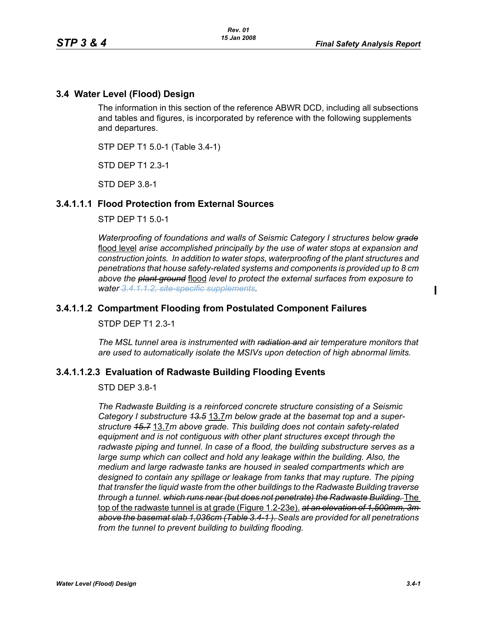## **3.4 Water Level (Flood) Design**

The information in this section of the reference ABWR DCD, including all subsections and tables and figures, is incorporated by reference with the following supplements and departures.

STP DEP T1 5.0-1 (Table 3.4-1)

STD DEP T1 2.3-1

STD DEP 3.8-1

#### **3.4.1.1.1 Flood Protection from External Sources**

STP DEP T1 5.0-1

*Waterproofing of foundations and walls of Seismic Category I structures below grade* flood level *arise accomplished principally by the use of water stops at expansion and construction joints. In addition to water stops, waterproofing of the plant structures and penetrations that house safety-related systems and components is provided up to 8 cm above the plant ground* flood *level to protect the external surfaces from exposure to water 3.4.1.1.2, site-specific supplements.*

#### **3.4.1.1.2 Compartment Flooding from Postulated Component Failures**

STDP DEP T1 2.3-1

*The MSL tunnel area is instrumented with radiation and air temperature monitors that are used to automatically isolate the MSIVs upon detection of high abnormal limits.*

#### **3.4.1.1.2.3 Evaluation of Radwaste Building Flooding Events**

#### STD DEP 3.8-1

*The Radwaste Building is a reinforced concrete structure consisting of a Seismic Category I substructure 13.5* 13.7*m below grade at the basemat top and a superstructure 15.7* 13.7*m above grade. This building does not contain safety-related equipment and is not contiguous with other plant structures except through the*  radwaste piping and tunnel. In case of a flood, the building substructure serves as a *large sump which can collect and hold any leakage within the building. Also, the medium and large radwaste tanks are housed in sealed compartments which are designed to contain any spillage or leakage from tanks that may rupture. The piping that transfer the liquid waste from the other buildings to the Radwaste Building traverse through a tunnel.* which runs near (but does not penetrate) the Radwaste Building. The top of the radwaste tunnel is at grade (Figure 1.2-23e). *at an elevation of 1,500mm, 3m above the basemat slab 1,036cm (Table 3.4-1 ). Seals are provided for all penetrations from the tunnel to prevent building to building flooding.*

 $\mathbf I$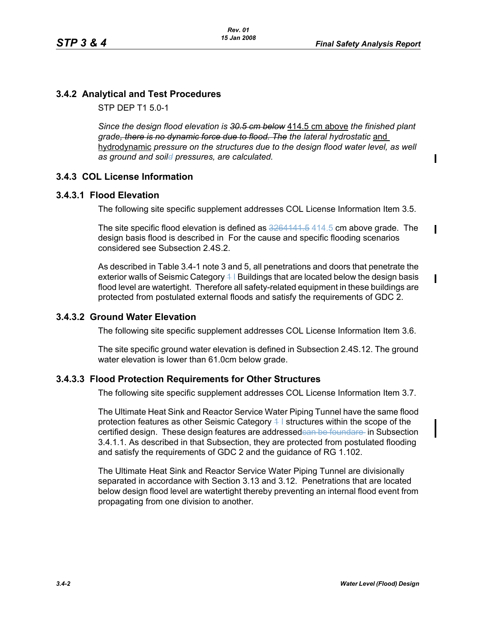$\mathbf I$ 

 $\mathbf I$ 

 $\mathbf{I}$ 

# **3.4.2 Analytical and Test Procedures**

STP DEP T1 5.0-1

*Since the design flood elevation is 30.5 cm below* 414.5 cm above *the finished plant*  grade<del>, there is no dynamic force due to flood. The</del> the lateral hydrostatic and hydrodynamic *pressure on the structures due to the design flood water level, as well as ground and soild pressures, are calculated.*

# **3.4.3 COL License Information**

### **3.4.3.1 Flood Elevation**

The following site specific supplement addresses COL License Information Item 3.5.

The site specific flood elevation is defined as  $3264141.5$   $414.5$  cm above grade. The design basis flood is described in For the cause and specific flooding scenarios considered see Subsection 2.4S.2.

As described in Table 3.4-1 note 3 and 5, all penetrations and doors that penetrate the exterior walls of Seismic Category  $4\,$  I Buildings that are located below the design basis flood level are watertight. Therefore all safety-related equipment in these buildings are protected from postulated external floods and satisfy the requirements of GDC 2.

# **3.4.3.2 Ground Water Elevation**

The following site specific supplement addresses COL License Information Item 3.6.

The site specific ground water elevation is defined in Subsection 2.4S.12. The ground water elevation is lower than 61.0cm below grade.

# **3.4.3.3 Flood Protection Requirements for Other Structures**

The following site specific supplement addresses COL License Information Item 3.7.

The Ultimate Heat Sink and Reactor Service Water Piping Tunnel have the same flood protection features as other Seismic Category  $4$  I structures within the scope of the certified design. These design features are addressedean be foundare in Subsection 3.4.1.1. As described in that Subsection, they are protected from postulated flooding and satisfy the requirements of GDC 2 and the guidance of RG 1.102.

The Ultimate Heat Sink and Reactor Service Water Piping Tunnel are divisionally separated in accordance with Section 3.13 and 3.12. Penetrations that are located below design flood level are watertight thereby preventing an internal flood event from propagating from one division to another.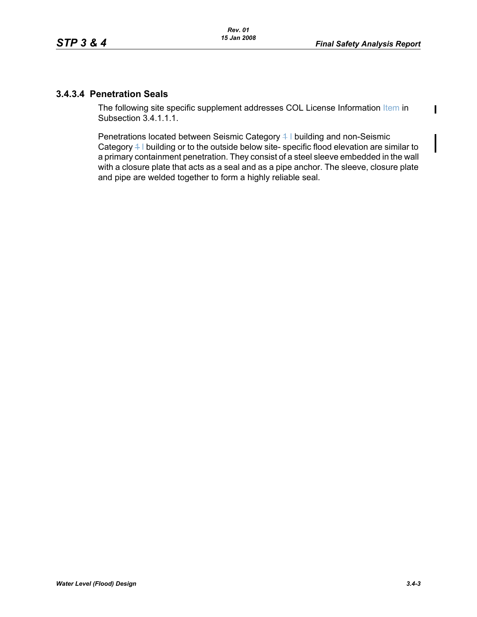$\mathbf I$ 

## **3.4.3.4 Penetration Seals**

The following site specific supplement addresses COL License Information Item in Subsection 3.4.1.1.1.

Penetrations located between Seismic Category 4 I building and non-Seismic Category 4 I building or to the outside below site- specific flood elevation are similar to a primary containment penetration. They consist of a steel sleeve embedded in the wall with a closure plate that acts as a seal and as a pipe anchor. The sleeve, closure plate and pipe are welded together to form a highly reliable seal.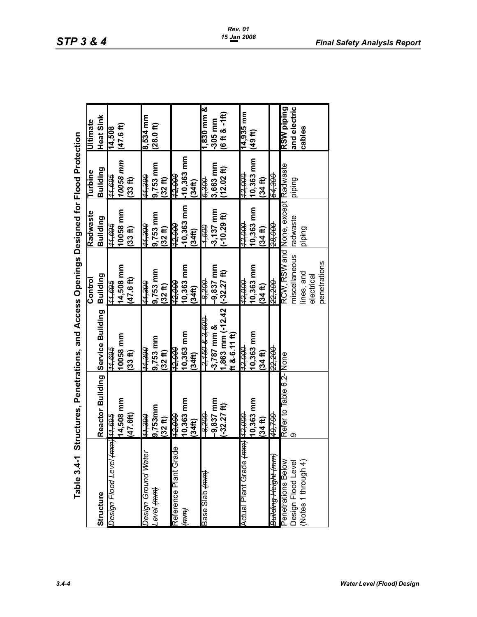|                                                                                                                                                                                                                                                                                                                                                                                                                                                                                               | Table 3.4-1 Structures, Penetrations, and Access Opsions, and Access Oesigne in the Structure of Protection |                       |                                    |                     |                     |                    |
|-----------------------------------------------------------------------------------------------------------------------------------------------------------------------------------------------------------------------------------------------------------------------------------------------------------------------------------------------------------------------------------------------------------------------------------------------------------------------------------------------|-------------------------------------------------------------------------------------------------------------|-----------------------|------------------------------------|---------------------|---------------------|--------------------|
|                                                                                                                                                                                                                                                                                                                                                                                                                                                                                               |                                                                                                             |                       | Control                            | Radwaste            | Turbine             | <b>Ultimate</b>    |
| Structure                                                                                                                                                                                                                                                                                                                                                                                                                                                                                     | Reactor Building Service Building                                                                           |                       | Building                           | Building            | Building            | Heat Sink          |
| Design Flood Level <del>(mm) 11,695</del>                                                                                                                                                                                                                                                                                                                                                                                                                                                     |                                                                                                             | <del>909 / l</del>    | <del>909ʻrr</del>                  | <del>969ʻH</del>    | <del>909 / r</del>  | 14,508             |
|                                                                                                                                                                                                                                                                                                                                                                                                                                                                                               | 14,508 mm                                                                                                   | 10058 mm              | 14,508 mm                          | 10058 mm            | 10058 mm            | (47.6f)            |
|                                                                                                                                                                                                                                                                                                                                                                                                                                                                                               | (47.6f)                                                                                                     | (33ft)                | 47.6 ft)                           | (33 f1)             | $(33 - 11)$         |                    |
| Design Ground Water                                                                                                                                                                                                                                                                                                                                                                                                                                                                           | <del>066 tt</del>                                                                                           | <del>066 11</del>     | <del>066'H</del>                   | <del>066 rr</del>   | <del>066'tt</del>   | 8,534 mm           |
| Tenel <del>(um)</del>                                                                                                                                                                                                                                                                                                                                                                                                                                                                         | 9,753mm                                                                                                     | 9,753 mm              | 9,753 mm                           | 9,753 mm            | 9,753 mm            | (28.0ft)           |
|                                                                                                                                                                                                                                                                                                                                                                                                                                                                                               | (32 ft)                                                                                                     | (32ft)                | (32 f)                             | (32 f)              | (32ft)              |                    |
| Reference Plant Grad                                                                                                                                                                                                                                                                                                                                                                                                                                                                          | <del>12,000</del>                                                                                           | <del>12,000</del>     | <del>000'Zt</del>                  | <del>000 čt</del>   | <del>000^\$</del>   |                    |
| $\begin{matrix} \overline{1} \overline{1} \ \overline{1} \ \overline{1} \ \overline{1} \ \overline{1} \ \overline{1} \ \overline{1} \ \overline{1} \ \overline{1} \ \overline{1} \ \overline{1} \ \overline{1} \ \overline{1} \ \overline{1} \ \overline{1} \ \overline{1} \ \overline{1} \ \overline{1} \ \overline{1} \ \overline{1} \ \overline{1} \ \overline{1} \ \overline{1} \ \overline{1} \ \overline{1} \ \overline{1} \ \overline{1} \ \overline{1} \ \overline{1} \ \overline{1}$ | 10,363 mm                                                                                                   | 10,363 mm             | 10,363 mm                          | 10,363 mm           | $-10,363$ mm        |                    |
|                                                                                                                                                                                                                                                                                                                                                                                                                                                                                               | (34 <sup>th</sup> )                                                                                         | (34 <sup>th</sup> )   | (34 <sup>th</sup> )                | (34 <sup>ft</sup> ) | (34 <sup>th</sup> ) |                    |
| Base Slab <del>(mm)</del>                                                                                                                                                                                                                                                                                                                                                                                                                                                                     | <u> 1959.</u>                                                                                               | <del>09158 8127</del> | -8,200                             | <b>909</b>          | <del>008'9</del>    | 1,830 mm &         |
|                                                                                                                                                                                                                                                                                                                                                                                                                                                                                               | 9,837 mm                                                                                                    | $-3,787$ mm &         | 9,837 mm                           | $3,137$ mm          | 3,663 mm            | 305 mm             |
|                                                                                                                                                                                                                                                                                                                                                                                                                                                                                               | $(-32.27$ ft)                                                                                               | 1,863 mm (-12.42      | $(-32.27)$                         | $-10.29$ ft)        | $12.02~{\rm fb}$    | $(6$ ft & $-1$ ft) |
|                                                                                                                                                                                                                                                                                                                                                                                                                                                                                               |                                                                                                             | ft &-6.11 ft)         |                                    |                     |                     |                    |
| Actual Plant Grade (mm) 12,000                                                                                                                                                                                                                                                                                                                                                                                                                                                                |                                                                                                             | 12,000                | 12,000                             | 12,000              | 12,000              | 14,935 mm          |
|                                                                                                                                                                                                                                                                                                                                                                                                                                                                                               | 10,363 mm                                                                                                   | 10,363 mm             | 10,363 mm                          | 10,363 mm           | 10,363 mm           | (49ft)             |
|                                                                                                                                                                                                                                                                                                                                                                                                                                                                                               | $(34, \text{ft})$                                                                                           | $(34, \text{ft})$     | (34, f)                            | $(34, \text{ft})$   | (34 <sup>th</sup> ) |                    |
| Building Height (mm)                                                                                                                                                                                                                                                                                                                                                                                                                                                                          | 49,700                                                                                                      | 22,200                | 22,200                             | 28,000              | 54,300              |                    |
| Penetrations Below                                                                                                                                                                                                                                                                                                                                                                                                                                                                            | Refer to Table 6.2-None                                                                                     |                       | RCW, RSW and None, except Radwaste |                     |                     | RSW piping         |
| Design Flood Level                                                                                                                                                                                                                                                                                                                                                                                                                                                                            |                                                                                                             |                       | miscellaneous                      | radwaste            | piping              | and electric       |
| (Notes 1 through 4)                                                                                                                                                                                                                                                                                                                                                                                                                                                                           |                                                                                                             |                       | lines, and                         | piping              |                     | cables             |
|                                                                                                                                                                                                                                                                                                                                                                                                                                                                                               |                                                                                                             |                       | electrical                         |                     |                     |                    |
|                                                                                                                                                                                                                                                                                                                                                                                                                                                                                               |                                                                                                             |                       | penetrations                       |                     |                     |                    |